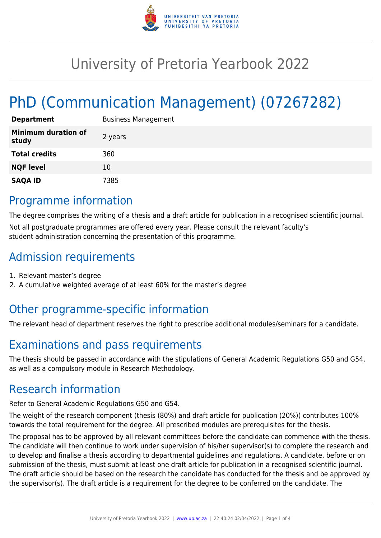

# University of Pretoria Yearbook 2022

# PhD (Communication Management) (07267282)

| <b>Department</b>                   | <b>Business Management</b> |
|-------------------------------------|----------------------------|
| <b>Minimum duration of</b><br>study | 2 years                    |
| <b>Total credits</b>                | 360                        |
| <b>NQF level</b>                    | 10                         |
| <b>SAQA ID</b>                      | 7385                       |

## Programme information

The degree comprises the writing of a thesis and a draft article for publication in a recognised scientific journal. Not all postgraduate programmes are offered every year. Please consult the relevant faculty's student administration concerning the presentation of this programme.

## Admission requirements

- 1. Relevant master's degree
- 2. A cumulative weighted average of at least 60% for the master's degree

## Other programme-specific information

The relevant head of department reserves the right to prescribe additional modules/seminars for a candidate.

## Examinations and pass requirements

The thesis should be passed in accordance with the stipulations of General Academic Regulations G50 and G54, as well as a compulsory module in Research Methodology.

## Research information

Refer to General Academic Regulations G50 and G54.

The weight of the research component (thesis (80%) and draft article for publication (20%)) contributes 100% towards the total requirement for the degree. All prescribed modules are prerequisites for the thesis.

The proposal has to be approved by all relevant committees before the candidate can commence with the thesis. The candidate will then continue to work under supervision of his/her supervisor(s) to complete the research and to develop and finalise a thesis according to departmental guidelines and regulations. A candidate, before or on submission of the thesis, must submit at least one draft article for publication in a recognised scientific journal. The draft article should be based on the research the candidate has conducted for the thesis and be approved by the supervisor(s). The draft article is a requirement for the degree to be conferred on the candidate. The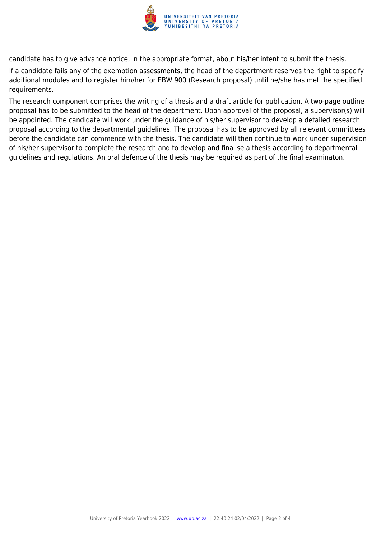

candidate has to give advance notice, in the appropriate format, about his/her intent to submit the thesis.

If a candidate fails any of the exemption assessments, the head of the department reserves the right to specify additional modules and to register him/her for EBW 900 (Research proposal) until he/she has met the specified requirements.

The research component comprises the writing of a thesis and a draft article for publication. A two-page outline proposal has to be submitted to the head of the department. Upon approval of the proposal, a supervisor(s) will be appointed. The candidate will work under the guidance of his/her supervisor to develop a detailed research proposal according to the departmental guidelines. The proposal has to be approved by all relevant committees before the candidate can commence with the thesis. The candidate will then continue to work under supervision of his/her supervisor to complete the research and to develop and finalise a thesis according to departmental guidelines and regulations. An oral defence of the thesis may be required as part of the final examinaton.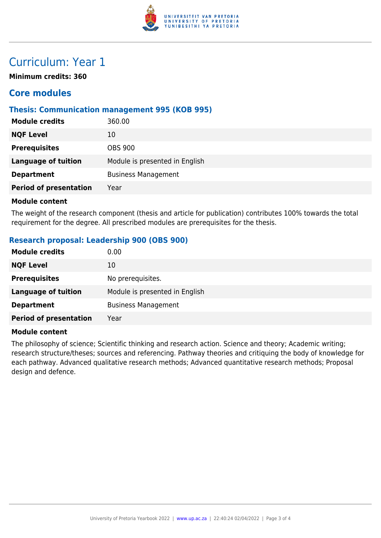

### Curriculum: Year 1

**Minimum credits: 360**

### **Core modules**

#### **Thesis: Communication management 995 (KOB 995)**

| <b>Module credits</b>         | 360.00                         |
|-------------------------------|--------------------------------|
| <b>NQF Level</b>              | 10                             |
| <b>Prerequisites</b>          | <b>OBS 900</b>                 |
| <b>Language of tuition</b>    | Module is presented in English |
| <b>Department</b>             | <b>Business Management</b>     |
| <b>Period of presentation</b> | Year                           |
|                               |                                |

#### **Module content**

The weight of the research component (thesis and article for publication) contributes 100% towards the total requirement for the degree. All prescribed modules are prerequisites for the thesis.

#### **Research proposal: Leadership 900 (OBS 900)**

| <b>Module credits</b>         | 0.00                           |
|-------------------------------|--------------------------------|
| <b>NQF Level</b>              | 10                             |
| <b>Prerequisites</b>          | No prerequisites.              |
| <b>Language of tuition</b>    | Module is presented in English |
| <b>Department</b>             | <b>Business Management</b>     |
| <b>Period of presentation</b> | Year                           |

#### **Module content**

The philosophy of science; Scientific thinking and research action. Science and theory; Academic writing; research structure/theses; sources and referencing. Pathway theories and critiquing the body of knowledge for each pathway. Advanced qualitative research methods; Advanced quantitative research methods; Proposal design and defence.